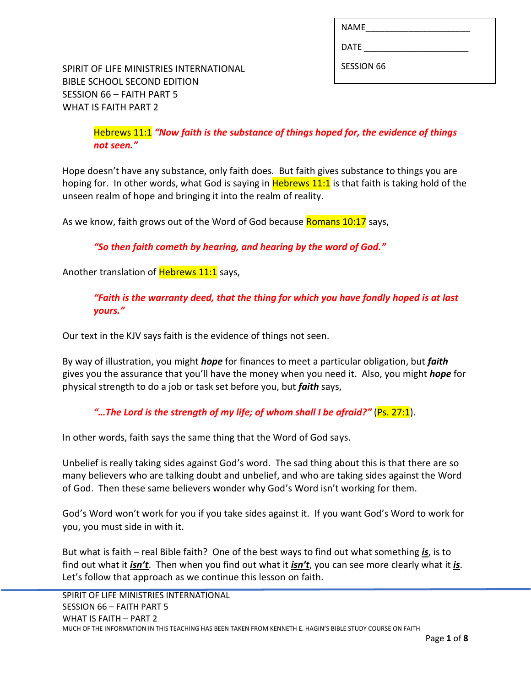| <b>NAME</b>       |  |
|-------------------|--|
| <b>DATE</b>       |  |
| <b>SESSION 66</b> |  |

SPIRIT OF LIFE MINISTRIES INTERNATIONAL BIBLE SCHOOL SECOND EDITION SESSION 66 – FAITH PART 5 WHAT IS FAITH PART 2

> Hebrews 11:1 *"Now faith is the substance of things hoped for, the evidence of things not seen."*

Hope doesn't have any substance, only faith does. But faith gives substance to things you are hoping for. In other words, what God is saying in Hebrews 11:1 is that faith is taking hold of the unseen realm of hope and bringing it into the realm of reality.

As we know, faith grows out of the Word of God because Romans 10:17 says,

*"So then faith cometh by hearing, and hearing by the word of God."*

Another translation of **Hebrews 11:1** says,

*"Faith is the warranty deed, that the thing for which you have fondly hoped is at last yours."*

Our text in the KJV says faith is the evidence of things not seen.

By way of illustration, you might *hope* for finances to meet a particular obligation, but *faith*  gives you the assurance that you'll have the money when you need it. Also, you might *hope* for physical strength to do a job or task set before you, but *faith* says,

*"…The Lord is the strength of my life; of whom shall I be afraid?"* (Ps. 27:1).

In other words, faith says the same thing that the Word of God says.

Unbelief is really taking sides against God's word. The sad thing about this is that there are so many believers who are talking doubt and unbelief, and who are taking sides against the Word of God. Then these same believers wonder why God's Word isn't working for them.

God's Word won't work for you if you take sides against it. If you want God's Word to work for you, you must side in with it.

But what is faith – real Bible faith? One of the best ways to find out what something *is*, is to find out what it *isn't*. Then when you find out what it *isn't*, you can see more clearly what it *is*. Let's follow that approach as we continue this lesson on faith.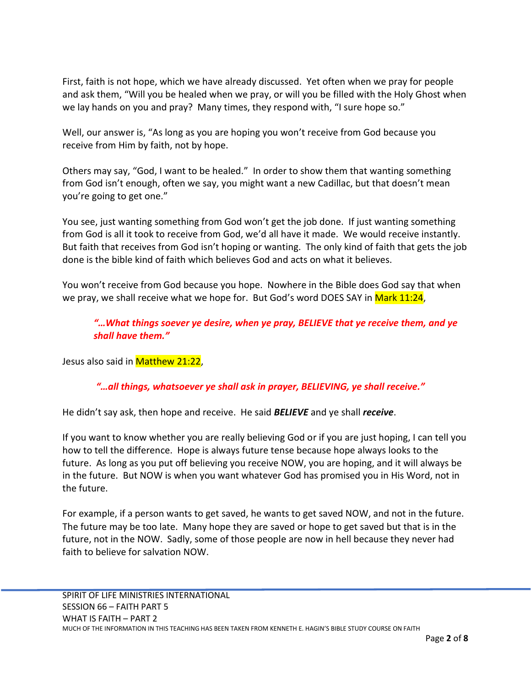First, faith is not hope, which we have already discussed. Yet often when we pray for people and ask them, "Will you be healed when we pray, or will you be filled with the Holy Ghost when we lay hands on you and pray? Many times, they respond with, "I sure hope so."

Well, our answer is, "As long as you are hoping you won't receive from God because you receive from Him by faith, not by hope.

Others may say, "God, I want to be healed." In order to show them that wanting something from God isn't enough, often we say, you might want a new Cadillac, but that doesn't mean you're going to get one."

You see, just wanting something from God won't get the job done. If just wanting something from God is all it took to receive from God, we'd all have it made. We would receive instantly. But faith that receives from God isn't hoping or wanting. The only kind of faith that gets the job done is the bible kind of faith which believes God and acts on what it believes.

You won't receive from God because you hope. Nowhere in the Bible does God say that when we pray, we shall receive what we hope for. But God's word DOES SAY in Mark 11:24,

*"…What things soever ye desire, when ye pray, BELIEVE that ye receive them, and ye shall have them."*

Jesus also said in **Matthew 21:22**,

## *"…all things, whatsoever ye shall ask in prayer, BELIEVING, ye shall receive."*

He didn't say ask, then hope and receive. He said *BELIEVE* and ye shall *receive*.

If you want to know whether you are really believing God or if you are just hoping, I can tell you how to tell the difference. Hope is always future tense because hope always looks to the future. As long as you put off believing you receive NOW, you are hoping, and it will always be in the future. But NOW is when you want whatever God has promised you in His Word, not in the future.

For example, if a person wants to get saved, he wants to get saved NOW, and not in the future. The future may be too late. Many hope they are saved or hope to get saved but that is in the future, not in the NOW. Sadly, some of those people are now in hell because they never had faith to believe for salvation NOW.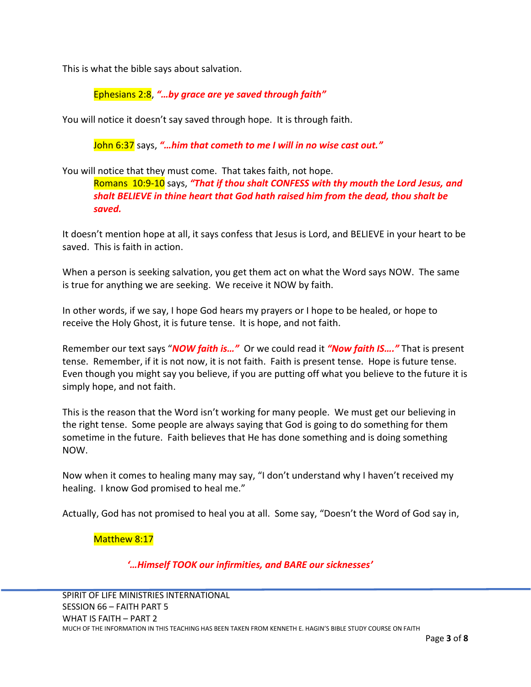This is what the bible says about salvation.

Ephesians 2:8, *"…by grace are ye saved through faith"*

You will notice it doesn't say saved through hope. It is through faith.

John 6:37 says, *"…him that cometh to me I will in no wise cast out."*

You will notice that they must come. That takes faith, not hope.

Romans 10:9-10 says, *"That if thou shalt CONFESS with thy mouth the Lord Jesus, and shalt BELIEVE in thine heart that God hath raised him from the dead, thou shalt be saved.*

It doesn't mention hope at all, it says confess that Jesus is Lord, and BELIEVE in your heart to be saved. This is faith in action.

When a person is seeking salvation, you get them act on what the Word says NOW. The same is true for anything we are seeking. We receive it NOW by faith.

In other words, if we say, I hope God hears my prayers or I hope to be healed, or hope to receive the Holy Ghost, it is future tense. It is hope, and not faith.

Remember our text says "*NOW faith is…"* Or we could read it *"Now faith IS…."* That is present tense. Remember, if it is not now, it is not faith. Faith is present tense. Hope is future tense. Even though you might say you believe, if you are putting off what you believe to the future it is simply hope, and not faith.

This is the reason that the Word isn't working for many people. We must get our believing in the right tense. Some people are always saying that God is going to do something for them sometime in the future. Faith believes that He has done something and is doing something NOW.

Now when it comes to healing many may say, "I don't understand why I haven't received my healing. I know God promised to heal me."

Actually, God has not promised to heal you at all. Some say, "Doesn't the Word of God say in,

Matthew 8:17

*'…Himself TOOK our infirmities, and BARE our sicknesses'*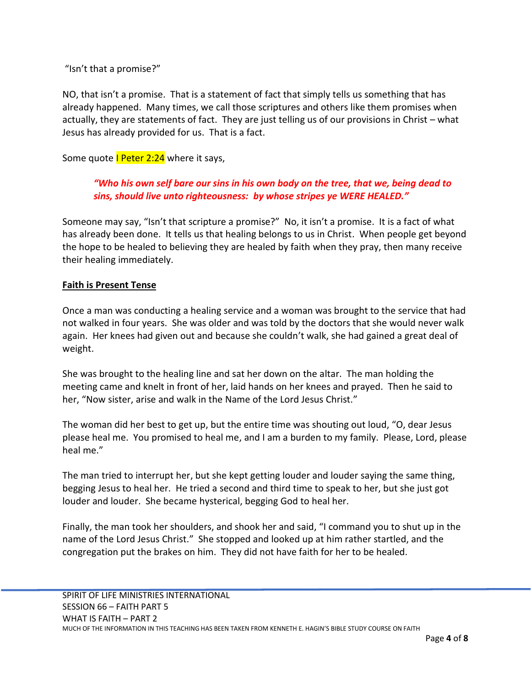"Isn't that a promise?"

NO, that isn't a promise. That is a statement of fact that simply tells us something that has already happened. Many times, we call those scriptures and others like them promises when actually, they are statements of fact. They are just telling us of our provisions in Christ – what Jesus has already provided for us. That is a fact.

Some quote I Peter 2:24 where it says,

# *"Who his own self bare our sins in his own body on the tree, that we, being dead to sins, should live unto righteousness: by whose stripes ye WERE HEALED."*

Someone may say, "Isn't that scripture a promise?" No, it isn't a promise. It is a fact of what has already been done. It tells us that healing belongs to us in Christ. When people get beyond the hope to be healed to believing they are healed by faith when they pray, then many receive their healing immediately.

### **Faith is Present Tense**

Once a man was conducting a healing service and a woman was brought to the service that had not walked in four years. She was older and was told by the doctors that she would never walk again. Her knees had given out and because she couldn't walk, she had gained a great deal of weight.

She was brought to the healing line and sat her down on the altar. The man holding the meeting came and knelt in front of her, laid hands on her knees and prayed. Then he said to her, "Now sister, arise and walk in the Name of the Lord Jesus Christ."

The woman did her best to get up, but the entire time was shouting out loud, "O, dear Jesus please heal me. You promised to heal me, and I am a burden to my family. Please, Lord, please heal me."

The man tried to interrupt her, but she kept getting louder and louder saying the same thing, begging Jesus to heal her. He tried a second and third time to speak to her, but she just got louder and louder. She became hysterical, begging God to heal her.

Finally, the man took her shoulders, and shook her and said, "I command you to shut up in the name of the Lord Jesus Christ." She stopped and looked up at him rather startled, and the congregation put the brakes on him. They did not have faith for her to be healed.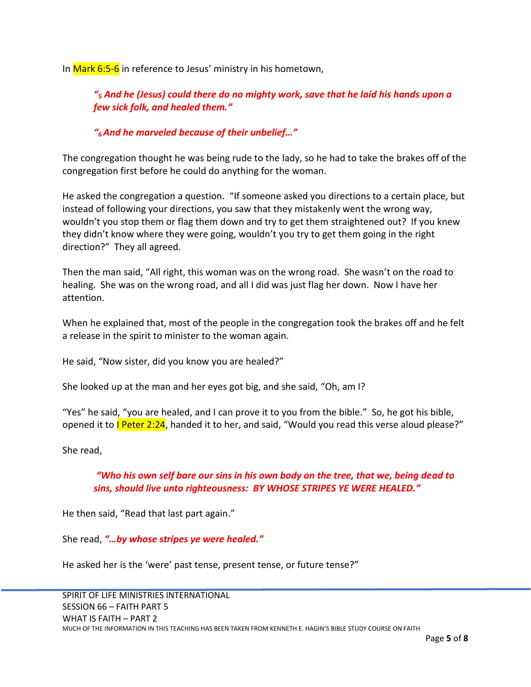In Mark 6:5-6 in reference to Jesus' ministry in his hometown,

*"<sup>5</sup> And he (Jesus) could there do no mighty work, save that he laid his hands upon a few sick folk, and healed them."* 

*"6 And he marveled because of their unbelief…"*

The congregation thought he was being rude to the lady, so he had to take the brakes off of the congregation first before he could do anything for the woman.

He asked the congregation a question. "If someone asked you directions to a certain place, but instead of following your directions, you saw that they mistakenly went the wrong way, wouldn't you stop them or flag them down and try to get them straightened out? If you knew they didn't know where they were going, wouldn't you try to get them going in the right direction?" They all agreed.

Then the man said, "All right, this woman was on the wrong road. She wasn't on the road to healing. She was on the wrong road, and all I did was just flag her down. Now I have her attention.

When he explained that, most of the people in the congregation took the brakes off and he felt a release in the spirit to minister to the woman again.

He said, "Now sister, did you know you are healed?"

She looked up at the man and her eyes got big, and she said, "Oh, am I?

"Yes" he said, "you are healed, and I can prove it to you from the bible." So, he got his bible, opened it to **I Peter 2:24**, handed it to her, and said, "Would you read this verse aloud please?"

She read,

## *"Who his own self bare our sins in his own body on the tree, that we, being dead to sins, should live unto righteousness: BY WHOSE STRIPES YE WERE HEALED."*

He then said, "Read that last part again."

She read, *"…by whose stripes ye were healed."*

He asked her is the 'were' past tense, present tense, or future tense?"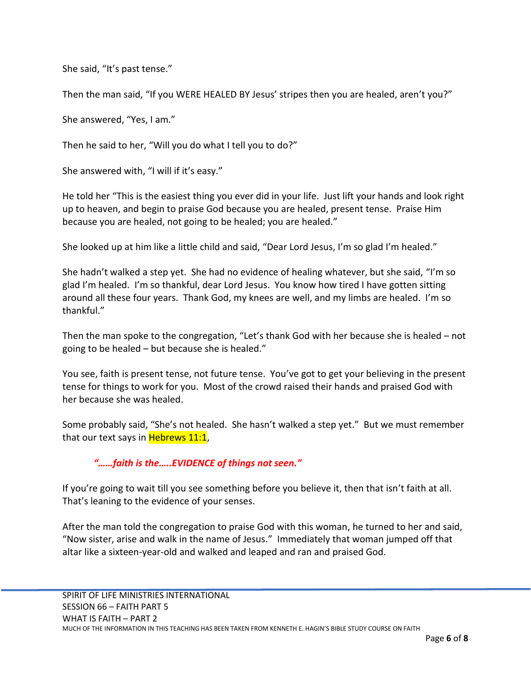She said, "It's past tense."

Then the man said, "If you WERE HEALED BY Jesus' stripes then you are healed, aren't you?"

She answered, "Yes, I am."

Then he said to her, "Will you do what I tell you to do?"

She answered with, "I will if it's easy."

He told her "This is the easiest thing you ever did in your life. Just lift your hands and look right up to heaven, and begin to praise God because you are healed, present tense. Praise Him because you are healed, not going to be healed; you are healed."

She looked up at him like a little child and said, "Dear Lord Jesus, I'm so glad I'm healed."

She hadn't walked a step yet. She had no evidence of healing whatever, but she said, "I'm so glad I'm healed. I'm so thankful, dear Lord Jesus. You know how tired I have gotten sitting around all these four years. Thank God, my knees are well, and my limbs are healed. I'm so thankful."

Then the man spoke to the congregation, "Let's thank God with her because she is healed – not going to be healed – but because she is healed."

You see, faith is present tense, not future tense. You've got to get your believing in the present tense for things to work for you. Most of the crowd raised their hands and praised God with her because she was healed.

Some probably said, "She's not healed. She hasn't walked a step yet." But we must remember that our text says in Hebrews 11:1,

#### *"……faith is the…..EVIDENCE of things not seen."*

If you're going to wait till you see something before you believe it, then that isn't faith at all. That's leaning to the evidence of your senses.

After the man told the congregation to praise God with this woman, he turned to her and said, "Now sister, arise and walk in the name of Jesus." Immediately that woman jumped off that altar like a sixteen-year-old and walked and leaped and ran and praised God.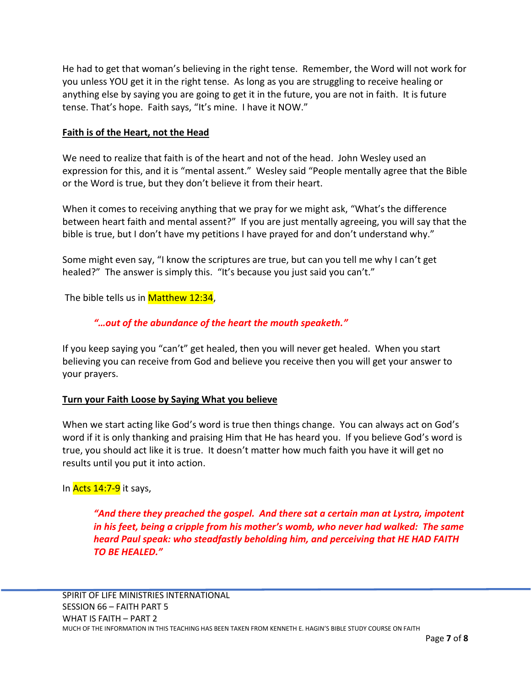He had to get that woman's believing in the right tense. Remember, the Word will not work for you unless YOU get it in the right tense. As long as you are struggling to receive healing or anything else by saying you are going to get it in the future, you are not in faith. It is future tense. That's hope. Faith says, "It's mine. I have it NOW."

#### **Faith is of the Heart, not the Head**

We need to realize that faith is of the heart and not of the head. John Wesley used an expression for this, and it is "mental assent." Wesley said "People mentally agree that the Bible or the Word is true, but they don't believe it from their heart.

When it comes to receiving anything that we pray for we might ask, "What's the difference between heart faith and mental assent?" If you are just mentally agreeing, you will say that the bible is true, but I don't have my petitions I have prayed for and don't understand why."

Some might even say, "I know the scriptures are true, but can you tell me why I can't get healed?" The answer is simply this. "It's because you just said you can't."

The bible tells us in **Matthew 12:34**,

## *"…out of the abundance of the heart the mouth speaketh."*

If you keep saying you "can't" get healed, then you will never get healed. When you start believing you can receive from God and believe you receive then you will get your answer to your prayers.

#### **Turn your Faith Loose by Saying What you believe**

When we start acting like God's word is true then things change. You can always act on God's word if it is only thanking and praising Him that He has heard you. If you believe God's word is true, you should act like it is true. It doesn't matter how much faith you have it will get no results until you put it into action.

#### In Acts 14:7-9 it says,

*"And there they preached the gospel. And there sat a certain man at Lystra, impotent in his feet, being a cripple from his mother's womb, who never had walked: The same heard Paul speak: who steadfastly beholding him, and perceiving that HE HAD FAITH TO BE HEALED."*